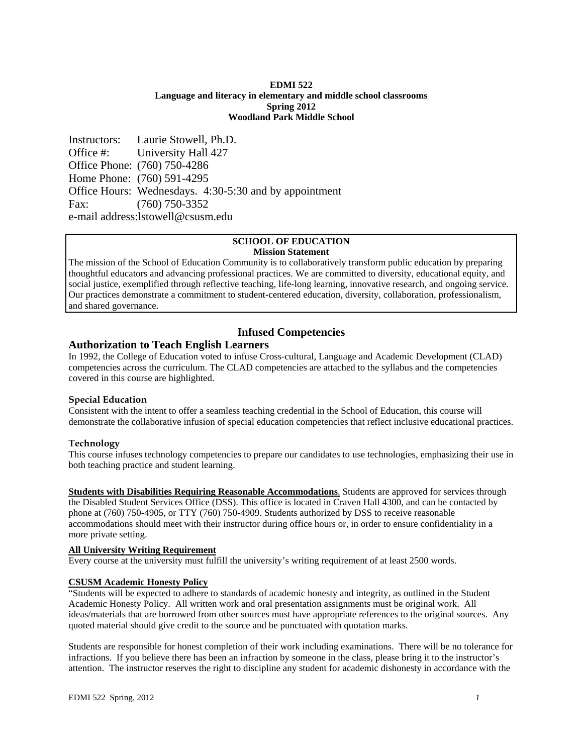#### **EDMI 522 Language and literacy in elementary and middle school classrooms Spring 2012 Woodland Park Middle School**

Instructors: Laurie Stowell, Ph.D. Office #: University Hall 427 Office Phone: (760) 750-4286 Home Phone: (760) 591-4295 Office Hours: Wednesdays. 4:30-5:30 and by appointment Fax: (760) 750-3352 e-mail address:lstowell@csusm.edu

## **SCHOOL OF EDUCATION Mission Statement**

The mission of the School of Education Community is to collaboratively transform public education by preparing thoughtful educators and advancing professional practices. We are committed to diversity, educational equity, and social justice, exemplified through reflective teaching, life-long learning, innovative research, and ongoing service. Our practices demonstrate a commitment to student-centered education, diversity, collaboration, professionalism, and shared governance.

# **Infused Competencies**

# **Authorization to Teach English Learners**

In 1992, the College of Education voted to infuse Cross-cultural, Language and Academic Development (CLAD) competencies across the curriculum. The CLAD competencies are attached to the syllabus and the competencies covered in this course are highlighted.

### **Special Education**

Consistent with the intent to offer a seamless teaching credential in the School of Education, this course will demonstrate the collaborative infusion of special education competencies that reflect inclusive educational practices.

### **Technology**

This course infuses technology competencies to prepare our candidates to use technologies, emphasizing their use in both teaching practice and student learning.

 more private setting. **Students with Disabilities Requiring Reasonable Accommodations.** Students are approved for services through the Disabled Student Services Office (DSS). This office is located in Craven Hall 4300, and can be contacted by phone at (760) 750-4905, or TTY (760) 750-4909. Students authorized by DSS to receive reasonable accommodations should meet with their instructor during office hours or, in order to ensure confidentiality in a

### **All University Writing Requirement**

Every course at the university must fulfill the university's writing requirement of at least 2500 words.

### **CSUSM Academic Honesty Policy**

"Students will be expected to adhere to standards of academic honesty and integrity, as outlined in the Student Academic Honesty Policy. All written work and oral presentation assignments must be original work. All ideas/materials that are borrowed from other sources must have appropriate references to the original sources. Any quoted material should give credit to the source and be punctuated with quotation marks.

Students are responsible for honest completion of their work including examinations. There will be no tolerance for infractions. If you believe there has been an infraction by someone in the class, please bring it to the instructor's attention. The instructor reserves the right to discipline any student for academic dishonesty in accordance with the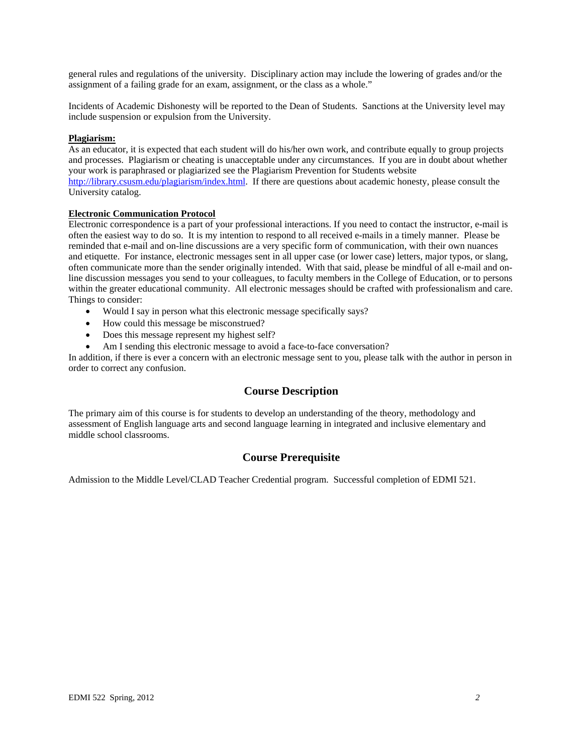general rules and regulations of the university. Disciplinary action may include the lowering of grades and/or the assignment of a failing grade for an exam, assignment, or the class as a whole."

Incidents of Academic Dishonesty will be reported to the Dean of Students. Sanctions at the University level may include suspension or expulsion from the University.

#### **Plagiarism:**

As an educator, it is expected that each student will do his/her own work, and contribute equally to group projects and processes. Plagiarism or cheating is unacceptable under any circumstances. If you are in doubt about whether your work is paraphrased or plagiarized see the Plagiarism Prevention for Students website http://library.csusm.edu/plagiarism/index.html. If there are questions about academic honesty, please consult the University catalog.

#### **Electronic Communication Protocol**

Electronic correspondence is a part of your professional interactions. If you need to contact the instructor, e-mail is often the easiest way to do so. It is my intention to respond to all received e-mails in a timely manner. Please be reminded that e-mail and on-line discussions are a very specific form of communication, with their own nuances and etiquette. For instance, electronic messages sent in all upper case (or lower case) letters, major typos, or slang, often communicate more than the sender originally intended. With that said, please be mindful of all e-mail and online discussion messages you send to your colleagues, to faculty members in the College of Education, or to persons within the greater educational community. All electronic messages should be crafted with professionalism and care. Things to consider:

- Would I say in person what this electronic message specifically says?
- How could this message be misconstrued?
- Does this message represent my highest self?
- Am I sending this electronic message to avoid a face-to-face conversation?

In addition, if there is ever a concern with an electronic message sent to you, please talk with the author in person in order to correct any confusion.

### **Course Description**

The primary aim of this course is for students to develop an understanding of the theory, methodology and assessment of English language arts and second language learning in integrated and inclusive elementary and middle school classrooms.

# **Course Prerequisite**

Admission to the Middle Level/CLAD Teacher Credential program. Successful completion of EDMI 521.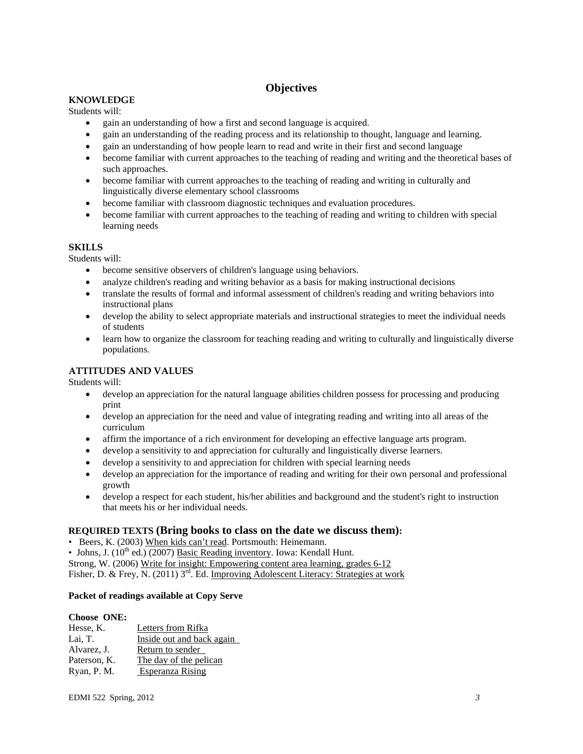# **Objectives**

# **KNOWLEDGE**

Students will:

- gain an understanding of how a first and second language is acquired.
- gain an understanding of the reading process and its relationship to thought, language and learning.
- gain an understanding of how people learn to read and write in their first and second language
- become familiar with current approaches to the teaching of reading and writing and the theoretical bases of such approaches.
- become familiar with current approaches to the teaching of reading and writing in culturally and linguistically diverse elementary school classrooms
- become familiar with classroom diagnostic techniques and evaluation procedures.
- become familiar with current approaches to the teaching of reading and writing to children with special learning needs

# **SKILLS**

Students will:

- become sensitive observers of children's language using behaviors.
- analyze children's reading and writing behavior as a basis for making instructional decisions
- translate the results of formal and informal assessment of children's reading and writing behaviors into instructional plans
- develop the ability to select appropriate materials and instructional strategies to meet the individual needs of students
- learn how to organize the classroom for teaching reading and writing to culturally and linguistically diverse populations.

# **ATTITUDES AND VALUES**

Students will:

- develop an appreciation for the natural language abilities children possess for processing and producing print
- develop an appreciation for the need and value of integrating reading and writing into all areas of the curriculum
- affirm the importance of a rich environment for developing an effective language arts program.
- develop a sensitivity to and appreciation for culturally and linguistically diverse learners.
- develop a sensitivity to and appreciation for children with special learning needs
- develop an appreciation for the importance of reading and writing for their own personal and professional growth
- develop a respect for each student, his/her abilities and background and the student's right to instruction that meets his or her individual needs.

# **REQUIRED TEXTS (Bring books to class on the date we discuss them):**

• Beers, K. (2003) When kids can't read. Portsmouth: Heinemann.

• Johns, J.  $(10^{th}$  ed.)  $(2007)$  Basic Reading inventory. Iowa: Kendall Hunt.

Fisher, D. & Frey, N. (2011) 3<sup>rd</sup>. Ed. Improving Adolescent Literacy: Strategies at work Strong, W. (2006) Write for insight: Empowering content area learning, grades 6-12

### **Packet of readings available at Copy Serve**

### **Choose ONE:**

| Hesse, K.                    | Letters from Rifka        |               |
|------------------------------|---------------------------|---------------|
| Lai, T.                      | Inside out and back again |               |
| Alvarez, J.                  | Return to sender          |               |
| Paterson, K.                 | The day of the pelican    |               |
| Ryan, P. M.                  | Esperanza Rising          |               |
|                              |                           |               |
| <b>EDMI</b> 522 Spring, 2012 |                           | $\mathcal{E}$ |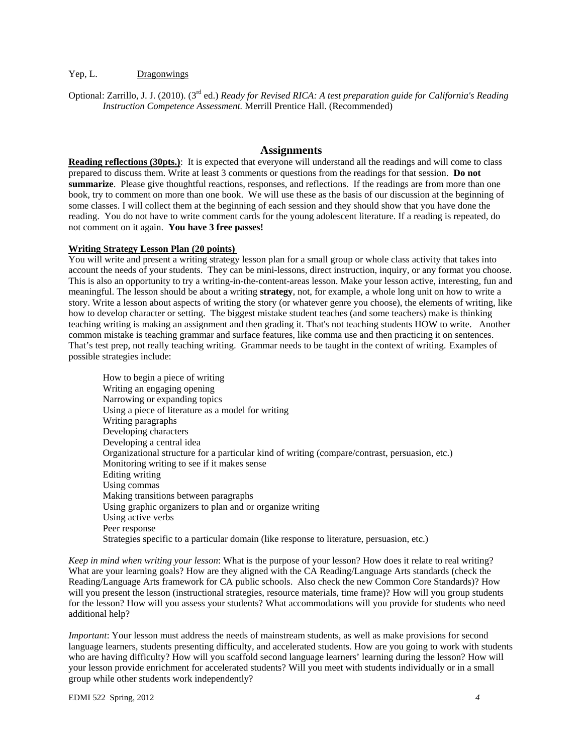#### Dragonwings

Yep, L. <u>Dragonwings</u><br>Optional: Zarrillo, J. J. (2010). (3<sup>rd</sup> ed.) *Ready for Revised RICA: A test preparation guide for California's Reading Instruction Competence Assessment.* Merrill Prentice Hall. (Recommended)

#### **Assignments**

**Reading reflections (30pts.)**: It is expected that everyone will understand all the readings and will come to class prepared to discuss them. Write at least 3 comments or questions from the readings for that session. **Do not summarize**. Please give thoughtful reactions, responses, and reflections. If the readings are from more than one book, try to comment on more than one book. We will use these as the basis of our discussion at the beginning of some classes. I will collect them at the beginning of each session and they should show that you have done the reading. You do not have to write comment cards for the young adolescent literature. If a reading is repeated, do not comment on it again. **You have 3 free passes!** 

#### **Writing Strategy Lesson Plan (20 points)**

possible strategies include: You will write and present a writing strategy lesson plan for a small group or whole class activity that takes into account the needs of your students. They can be mini-lessons, direct instruction, inquiry, or any format you choose. This is also an opportunity to try a writing-in-the-content-areas lesson. Make your lesson active, interesting, fun and meaningful. The lesson should be about a writing **strategy**, not, for example, a whole long unit on how to write a story. Write a lesson about aspects of writing the story (or whatever genre you choose), the elements of writing, like how to develop character or setting. The biggest mistake student teaches (and some teachers) make is thinking teaching writing is making an assignment and then grading it. That's not teaching students HOW to write. Another common mistake is teaching grammar and surface features, like comma use and then practicing it on sentences. That's test prep, not really teaching writing. Grammar needs to be taught in the context of writing. Examples of

How to begin a piece of writing Writing an engaging opening Narrowing or expanding topics Using a piece of literature as a model for writing Writing paragraphs Developing characters Developing a central idea Organizational structure for a particular kind of writing (compare/contrast, persuasion, etc.) Monitoring writing to see if it makes sense Editing writing Using commas Making transitions between paragraphs Using graphic organizers to plan and or organize writing Using active verbs Peer response Strategies specific to a particular domain (like response to literature, persuasion, etc.)

 additional help? *Keep in mind when writing your lesson*: What is the purpose of your lesson? How does it relate to real writing? What are your learning goals? How are they aligned with the CA Reading/Language Arts standards (check the Reading/Language Arts framework for CA public schools. Also check the new Common Core Standards)? How will you present the lesson (instructional strategies, resource materials, time frame)? How will you group students for the lesson? How will you assess your students? What accommodations will you provide for students who need

group while other students work independently?<br>
EDMI 522 Spring, 2012 *4 4 Important*: Your lesson must address the needs of mainstream students, as well as make provisions for second language learners, students presenting difficulty, and accelerated students. How are you going to work with students who are having difficulty? How will you scaffold second language learners' learning during the lesson? How will your lesson provide enrichment for accelerated students? Will you meet with students individually or in a small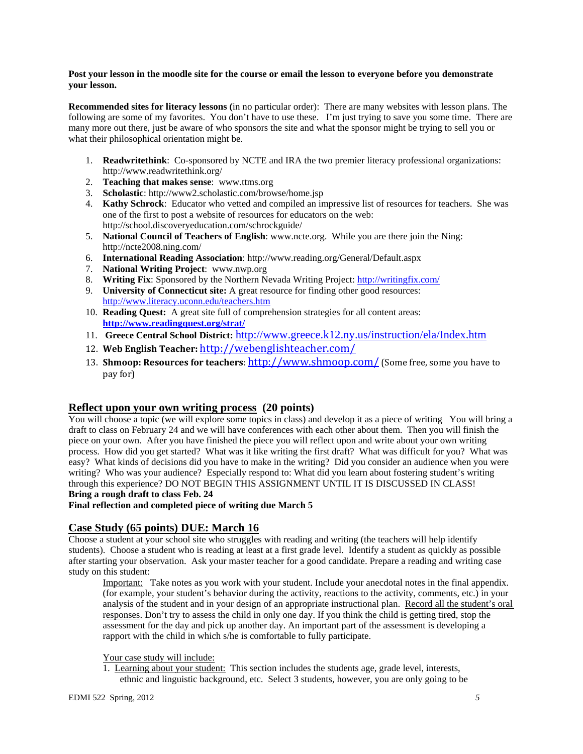#### **Post your lesson in the moodle site for the course or email the lesson to everyone before you demonstrate your lesson.**

**Recommended sites for literacy lessons (**in no particular order): There are many websites with lesson plans. The following are some of my favorites. You don't have to use these. I'm just trying to save you some time. There are many more out there, just be aware of who sponsors the site and what the sponsor might be trying to sell you or what their philosophical orientation might be.

- 1. **Readwritethink**: Co-sponsored by NCTE and IRA the two premier literacy professional organizations: http://www.readwritethink.org/
- 2. **Teaching that makes sense**: www.ttms.org
- 3. **Scholastic**: http://www2.scholastic.com/browse/home.jsp
- 4. **Kathy Schrock**: Educator who vetted and compiled an impressive list of resources for teachers. She was one of the first to post a website of resources for educators on the web: http://school.discoveryeducation.com/schrockguide/
- 5. **National Council of Teachers of English**: www.ncte.org. While you are there join the Ning: http://ncte2008.ning.com/
- 6. **International Reading Association**: http://www.reading.org/General/Default.aspx
- 7. **National Writing Project**: www.nwp.org
- 8. **Writing Fix**: Sponsored by the Northern Nevada Writing Project: http://writingfix.com/
- 9. **University of Connecticut site:** A great resource for finding other good resources: http://www.literacy.uconn.edu/teachers.htm
- 10. **Reading Quest:** A great site full of comprehension strategies for all content areas: **http://www.readingquest.org/strat/**
- 11. **Greece Central School District:** http://www.greece.k12.ny.us/instruction/ela/Index.htm
- 12. **Web English Teacher:** http://webenglishteacher.com/
- 13. **Shmoop: Resources for teachers**: http://www.shmoop.com/ (Some free, some you have to pay for)

# **Reflect upon your own writing process (20 points)**

You will choose a topic (we will explore some topics in class) and develop it as a piece of writing You will bring a draft to class on February 24 and we will have conferences with each other about them. Then you will finish the piece on your own. After you have finished the piece you will reflect upon and write about your own writing process. How did you get started? What was it like writing the first draft? What was difficult for you? What was easy? What kinds of decisions did you have to make in the writing? Did you consider an audience when you were writing? Who was your audience? Especially respond to: What did you learn about fostering student's writing through this experience? DO NOT BEGIN THIS ASSIGNMENT UNTIL IT IS DISCUSSED IN CLASS! **Bring a rough draft to class Feb. 24** 

## **Final reflection and completed piece of writing due March 5**

# **Case Study (65 points) DUE: March 16**

study on this student: Choose a student at your school site who struggles with reading and writing (the teachers will help identify students). Choose a student who is reading at least at a first grade level. Identify a student as quickly as possible after starting your observation. Ask your master teacher for a good candidate. Prepare a reading and writing case

Important: Take notes as you work with your student. Include your anecdotal notes in the final appendix. (for example, your student's behavior during the activity, reactions to the activity, comments, etc.) in your analysis of the student and in your design of an appropriate instructional plan. Record all the student's oral responses. Don't try to assess the child in only one day. If you think the child is getting tired, stop the assessment for the day and pick up another day. An important part of the assessment is developing a rapport with the child in which s/he is comfortable to fully participate.

#### Your case study will include:

1. Learning about your student: This section includes the students age, grade level, interests, ethnic and linguistic background, etc. Select 3 students, however, you are only going to be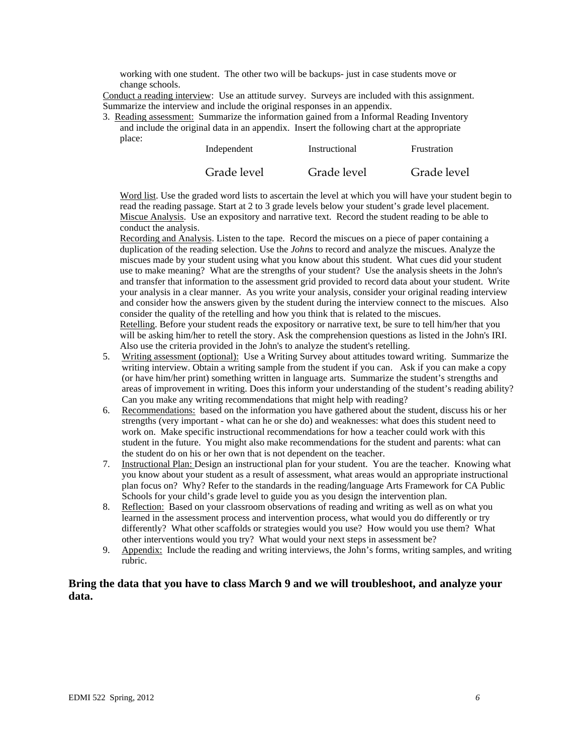working with one student. The other two will be backups- just in case students move or change schools.

Conduct a reading interview: Use an attitude survey. Surveys are included with this assignment. Summarize the interview and include the original responses in an appendix.

3. Reading assessment: Summarize the information gained from a Informal Reading Inventory and include the original data in an appendix. Insert the following chart at the appropriate place:

| Independent | Instructional | Frustration |
|-------------|---------------|-------------|
| Grade level | Grade level   | Grade level |

Word list. Use the graded word lists to ascertain the level at which you will have your student begin to read the reading passage. Start at 2 to 3 grade levels below your student's grade level placement. Miscue Analysis. Use an expository and narrative text. Record the student reading to be able to conduct the analysis.

Recording and Analysis. Listen to the tape. Record the miscues on a piece of paper containing a duplication of the reading selection. Use the *Johns* to record and analyze the miscues. Analyze the miscues made by your student using what you know about this student. What cues did your student use to make meaning? What are the strengths of your student? Use the analysis sheets in the John's and transfer that information to the assessment grid provided to record data about your student. Write your analysis in a clear manner. As you write your analysis, consider your original reading interview and consider how the answers given by the student during the interview connect to the miscues. Also consider the quality of the retelling and how you think that is related to the miscues. Retelling. Before your student reads the expository or narrative text, be sure to tell him/her that you will be asking him/her to retell the story. Ask the comprehension questions as listed in the John's IRI. Also use the criteria provided in the John's to analyze the student's retelling.

- areas of improvement in writing. Does this inform your understanding of the student's reading ability? Can you make any writing recommendations that might help with reading? 5. Writing assessment (optional): Use a Writing Survey about attitudes toward writing. Summarize the writing interview. Obtain a writing sample from the student if you can. Ask if you can make a copy (or have him/her print) something written in language arts. Summarize the student's strengths and
- 6. Recommendations: based on the information you have gathered about the student, discuss his or her strengths (very important - what can he or she do) and weaknesses: what does this student need to work on. Make specific instructional recommendations for how a teacher could work with this student in the future. You might also make recommendations for the student and parents: what can the student do on his or her own that is not dependent on the teacher.
- 7. Instructional Plan: Design an instructional plan for your student. You are the teacher. Knowing what you know about your student as a result of assessment, what areas would an appropriate instructional plan focus on? Why? Refer to the standards in the reading/language Arts Framework for CA Public Schools for your child's grade level to guide you as you design the intervention plan.
- 8. Reflection: Based on your classroom observations of reading and writing as well as on what you learned in the assessment process and intervention process, what would you do differently or try differently? What other scaffolds or strategies would you use? How would you use them? What other interventions would you try? What would your next steps in assessment be?
- 9. Appendix: Include the reading and writing interviews, the John's forms, writing samples, and writing rubric.

# **Bring the data that you have to class March 9 and we will troubleshoot, and analyze your data.**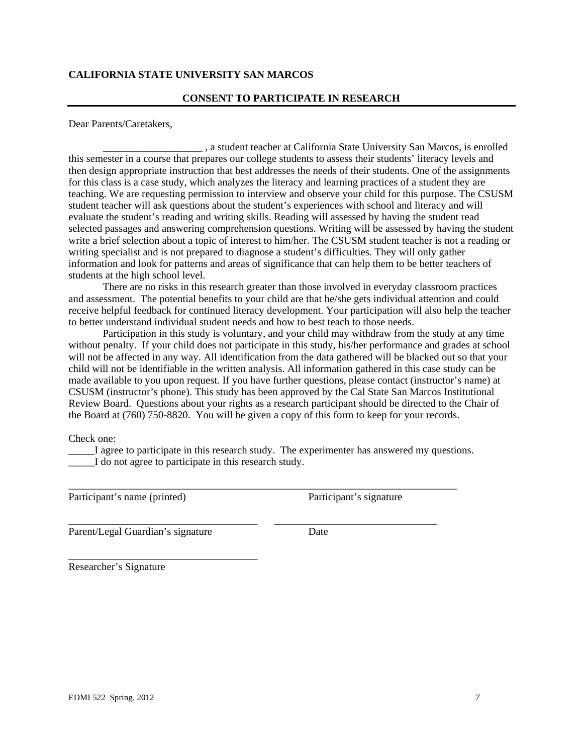# **CALIFORNIA STATE UNIVERSITY SAN MARCOS**

### **CONSENT TO PARTICIPATE IN RESEARCH**

Dear Parents/Caretakers,

\_\_\_\_\_\_\_\_\_\_\_\_\_\_\_\_\_\_\_ , a student teacher at California State University San Marcos, is enrolled this semester in a course that prepares our college students to assess their students' literacy levels and then design appropriate instruction that best addresses the needs of their students. One of the assignments for this class is a case study, which analyzes the literacy and learning practices of a student they are teaching. We are requesting permission to interview and observe your child for this purpose. The CSUSM student teacher will ask questions about the student's experiences with school and literacy and will evaluate the student's reading and writing skills. Reading will assessed by having the student read selected passages and answering comprehension questions. Writing will be assessed by having the student write a brief selection about a topic of interest to him/her. The CSUSM student teacher is not a reading or writing specialist and is not prepared to diagnose a student's difficulties. They will only gather information and look for patterns and areas of significance that can help them to be better teachers of students at the high school level.

There are no risks in this research greater than those involved in everyday classroom practices and assessment. The potential benefits to your child are that he/she gets individual attention and could receive helpful feedback for continued literacy development. Your participation will also help the teacher to better understand individual student needs and how to best teach to those needs.

Participation in this study is voluntary, and your child may withdraw from the study at any time without penalty. If your child does not participate in this study, his/her performance and grades at school will not be affected in any way. All identification from the data gathered will be blacked out so that your child will not be identifiable in the written analysis. All information gathered in this case study can be made available to you upon request. If you have further questions, please contact (instructor's name) at CSUSM (instructor's phone). This study has been approved by the Cal State San Marcos Institutional Review Board. Questions about your rights as a research participant should be directed to the Chair of the Board at (760) 750-8820. You will be given a copy of this form to keep for your records.

Check one:

\_\_\_\_\_I agree to participate in this research study. The experimenter has answered my questions. I do not agree to participate in this research study.

\_\_\_\_\_\_\_\_\_\_\_\_\_\_\_\_\_\_\_\_\_\_\_\_\_\_\_\_\_\_\_\_\_\_\_\_\_\_\_\_\_\_\_\_\_\_\_\_\_\_\_\_\_\_\_\_\_\_\_\_\_\_\_\_\_\_\_\_\_\_\_\_\_\_

\_\_\_\_\_\_\_\_\_\_\_\_\_\_\_\_\_\_\_\_\_\_\_\_\_\_\_\_\_\_\_\_\_\_\_\_ \_\_\_\_\_\_\_\_\_\_\_\_\_\_\_\_\_\_\_\_\_\_\_\_\_\_\_\_\_\_\_

Participant's name (printed) Participant's signature

Parent/Legal Guardian's signature Date

\_\_\_\_\_\_\_\_\_\_\_\_\_\_\_\_\_\_\_\_\_\_\_\_\_\_\_\_\_\_\_\_\_\_\_\_

Researcher's Signature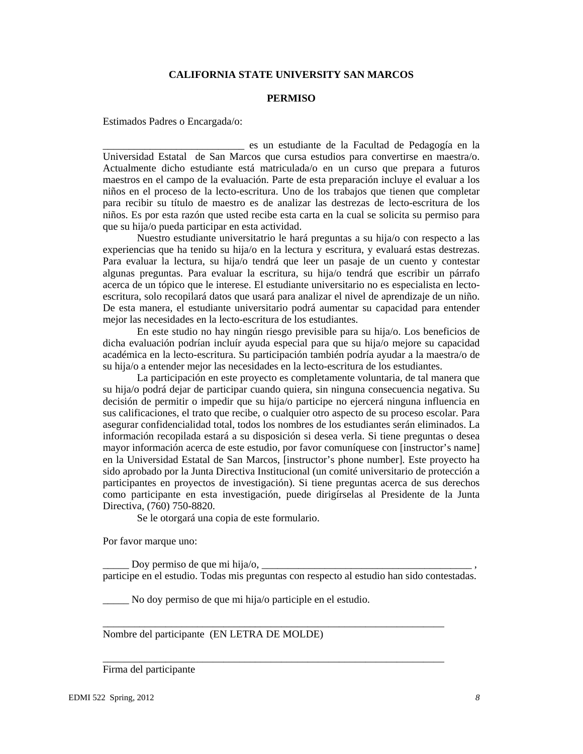## **CALIFORNIA STATE UNIVERSITY SAN MARCOS**

#### **PERMISO**

Estimados Padres o Encargada/o:

\_\_\_\_\_\_\_\_\_\_\_\_\_\_\_\_\_\_\_\_\_\_\_\_\_\_\_ es un estudiante de la Facultad de Pedagogía en la Universidad Estatal de San Marcos que cursa estudios para convertirse en maestra/o. Actualmente dicho estudiante está matriculada/o en un curso que prepara a futuros maestros en el campo de la evaluación. Parte de esta preparación incluye el evaluar a los niños en el proceso de la lecto-escritura. Uno de los trabajos que tienen que completar para recibir su título de maestro es de analizar las destrezas de lecto-escritura de los niños. Es por esta razón que usted recibe esta carta en la cual se solicita su permiso para que su hija/o pueda participar en esta actividad.

Nuestro estudiante universitatrio le hará preguntas a su hija/o con respecto a las experiencias que ha tenido su hija/o en la lectura y escritura, y evaluará estas destrezas. Para evaluar la lectura, su hija/o tendrá que leer un pasaje de un cuento y contestar algunas preguntas. Para evaluar la escritura, su hija/o tendrá que escribir un párrafo acerca de un tópico que le interese. El estudiante universitario no es especialista en lectoescritura, solo recopilará datos que usará para analizar el nivel de aprendizaje de un niño. De esta manera, el estudiante universitario podrá aumentar su capacidad para entender mejor las necesidades en la lecto-escritura de los estudiantes.

En este studio no hay ningún riesgo previsible para su hija/o. Los beneficios de dicha evaluación podrían incluír ayuda especial para que su hija/o mejore su capacidad académica en la lecto-escritura. Su participación también podría ayudar a la maestra/o de su hija/o a entender mejor las necesidades en la lecto-escritura de los estudiantes.

La participación en este proyecto es completamente voluntaria, de tal manera que su hija/o podrá dejar de participar cuando quiera, sin ninguna consecuencia negativa. Su decisión de permitir o impedir que su hija/o participe no ejercerá ninguna influencia en sus calificaciones, el trato que recibe, o cualquier otro aspecto de su proceso escolar. Para asegurar confidencialidad total, todos los nombres de los estudiantes serán eliminados. La información recopilada estará a su disposición si desea verla. Si tiene preguntas o desea mayor información acerca de este estudio, por favor comuníquese con [instructor's name] en la Universidad Estatal de San Marcos, [instructor's phone number]. Este proyecto ha sido aprobado por la Junta Directiva Institucional (un comité universitario de protección a participantes en proyectos de investigación). Si tiene preguntas acerca de sus derechos como participante en esta investigación, puede dirigírselas al Presidente de la Junta Directiva, (760) 750-8820.

Se le otorgará una copia de este formulario.

Por favor marque uno:

Doy permiso de que mi hija/o,  $\Box$ participe en el estudio. Todas mis preguntas con respecto al estudio han sido contestadas.

\_\_\_\_\_\_\_\_\_\_\_\_\_\_\_\_\_\_\_\_\_\_\_\_\_\_\_\_\_\_\_\_\_\_\_\_\_\_\_\_\_\_\_\_\_\_\_\_\_\_\_\_\_\_\_\_\_\_\_\_\_\_\_\_\_

\_\_\_\_\_\_\_\_\_\_\_\_\_\_\_\_\_\_\_\_\_\_\_\_\_\_\_\_\_\_\_\_\_\_\_\_\_\_\_\_\_\_\_\_\_\_\_\_\_\_\_\_\_\_\_\_\_\_\_\_\_\_\_\_\_

\_\_\_\_\_ No doy permiso de que mi hija/o participle en el estudio.

Nombre del participante (EN LETRA DE MOLDE)

### Firma del participante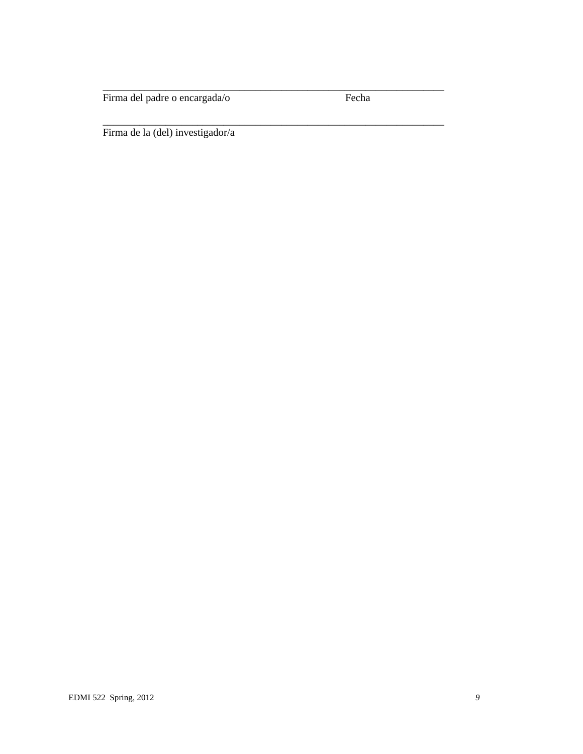Firma del padre o encargada/o Fecha

\_\_\_\_\_\_\_\_\_\_\_\_\_\_\_\_\_\_\_\_\_\_\_\_\_\_\_\_\_\_\_\_\_\_\_\_\_\_\_\_\_\_\_\_\_\_\_\_\_\_\_\_\_\_\_\_\_\_\_\_\_\_\_\_\_

\_\_\_\_\_\_\_\_\_\_\_\_\_\_\_\_\_\_\_\_\_\_\_\_\_\_\_\_\_\_\_\_\_\_\_\_\_\_\_\_\_\_\_\_\_\_\_\_\_\_\_\_\_\_\_\_\_\_\_\_\_\_\_\_\_

Firma de la (del) investigador/a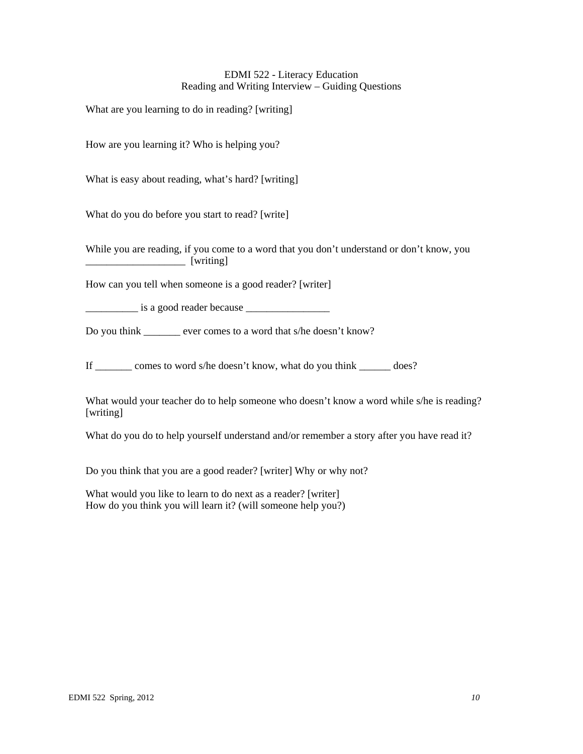## EDMI 522 - Literacy Education Reading and Writing Interview – Guiding Questions

What are you learning to do in reading? [writing]

How are you learning it? Who is helping you?

What is easy about reading, what's hard? [writing]

What do you do before you start to read? [write]

While you are reading, if you come to a word that you don't understand or don't know, you \_\_\_\_\_\_\_\_\_\_\_\_\_\_\_\_\_\_\_ [writing]

How can you tell when someone is a good reader? [writer]

\_\_\_\_\_\_\_\_\_\_ is a good reader because \_\_\_\_\_\_\_\_\_\_\_\_\_\_\_\_

Do you think ever comes to a word that s/he doesn't know?

If \_\_\_\_\_\_\_ comes to word s/he doesn't know, what do you think \_\_\_\_\_\_ does?

What would your teacher do to help someone who doesn't know a word while s/he is reading? [writing]

What do you do to help yourself understand and/or remember a story after you have read it?

Do you think that you are a good reader? [writer] Why or why not?

What would you like to learn to do next as a reader? [writer] How do you think you will learn it? (will someone help you?)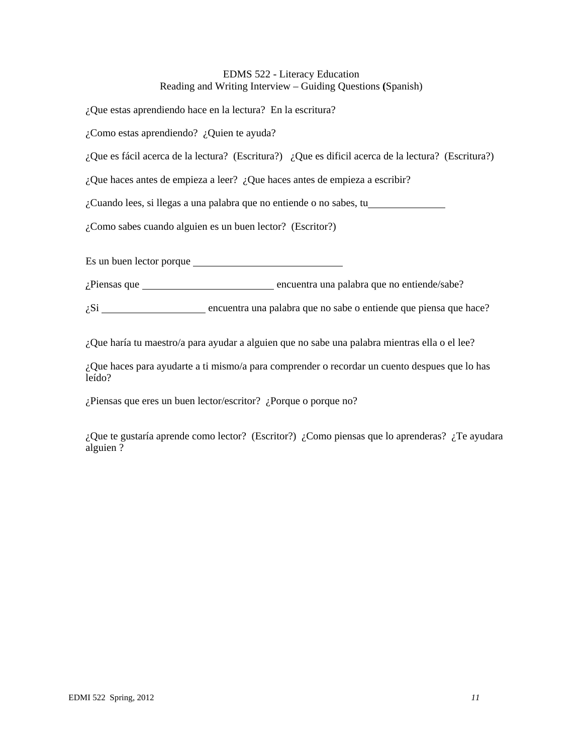# EDMS 522 - Literacy Education Reading and Writing Interview – Guiding Questions **(**Spanish)

¿Que estas aprendiendo hace en la lectura? En la escritura?

¿Como estas aprendiendo? ¿Quien te ayuda?

¿Que es fácil acerca de la lectura? (Escritura?) ¿Que es dificil acerca de la lectura? (Escritura?)

¿Que haces antes de empieza a leer? ¿Que haces antes de empieza a escribir?

¿Cuando lees, si llegas a una palabra que no entiende o no sabes, tu

¿Como sabes cuando alguien es un buen lector? (Escritor?)

Es un buen lector porque

¿Piensas que encuentra una palabra que no entiende/sabe?

 $\zeta$ Si  $\frac{1}{\zeta}$  encuentra una palabra que no sabe o entiende que piensa que hace?

¿Que haría tu maestro/a para ayudar a alguien que no sabe una palabra mientras ella o el lee?

¿Que haces para ayudarte a ti mismo/a para comprender o recordar un cuento despues que lo has leído?

¿Piensas que eres un buen lector/escritor? ¿Porque o porque no?

¿Que te gustaría aprende como lector? (Escritor?) ¿Como piensas que lo aprenderas? ¿Te ayudara alguien ?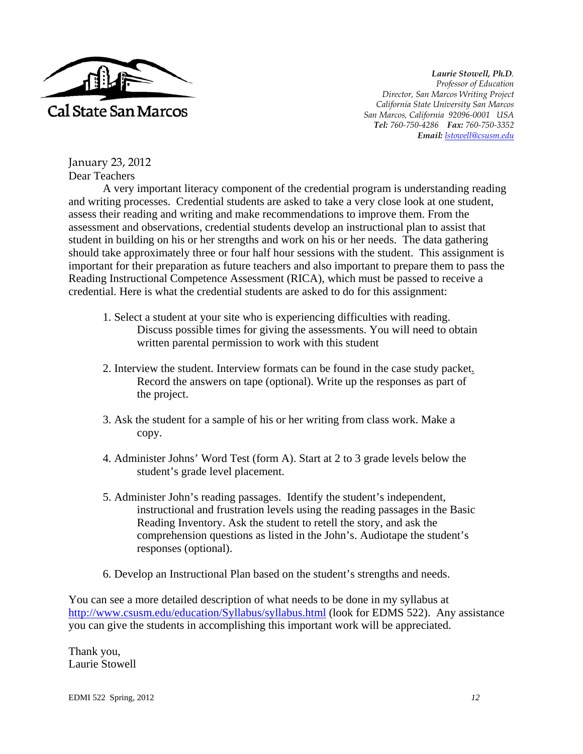

*Laurie Stowell, Ph.D. Professor of Education Director, San Marcos Writing Project California State University San Marcos San Marcos, California 92096-0001 USA Tel: 760-750-4286 Fax: 760-750-3352 Email: lstowell@csusm.edu* 

January 23, 2012 Dear Teachers

A very important literacy component of the credential program is understanding reading and writing processes. Credential students are asked to take a very close look at one student, assess their reading and writing and make recommendations to improve them. From the assessment and observations, credential students develop an instructional plan to assist that student in building on his or her strengths and work on his or her needs. The data gathering should take approximately three or four half hour sessions with the student. This assignment is important for their preparation as future teachers and also important to prepare them to pass the Reading Instructional Competence Assessment (RICA), which must be passed to receive a credential. Here is what the credential students are asked to do for this assignment:

- 1. Select a student at your site who is experiencing difficulties with reading. Discuss possible times for giving the assessments. You will need to obtain written parental permission to work with this student
- 2. Interview the student. Interview formats can be found in the case study packet. Record the answers on tape (optional). Write up the responses as part of the project.
- 3. Ask the student for a sample of his or her writing from class work. Make a copy.
- 4. Administer Johns' Word Test (form A). Start at 2 to 3 grade levels below the student's grade level placement.
- 5. Administer John's reading passages. Identify the student's independent, instructional and frustration levels using the reading passages in the Basic Reading Inventory. Ask the student to retell the story, and ask the comprehension questions as listed in the John's. Audiotape the student's responses (optional).
- 6. Develop an Instructional Plan based on the student's strengths and needs.

You can see a more detailed description of what needs to be done in my syllabus at http://www.csusm.edu/education/Syllabus/syllabus.html (look for EDMS 522). Any assistance you can give the students in accomplishing this important work will be appreciated.

Thank you, Laurie Stowell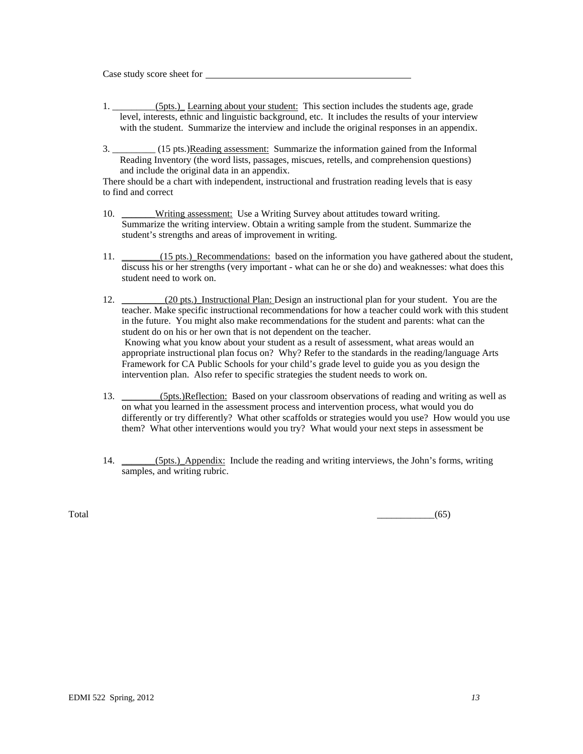Case study score sheet for

- 1. \_\_\_\_\_\_\_\_\_(5pts.)\_ Learning about your student: This section includes the students age, grade level, interests, ethnic and linguistic background, etc. It includes the results of your interview with the student. Summarize the interview and include the original responses in an appendix.
- 3. \_\_\_\_\_\_\_\_\_ (15 pts.)Reading assessment: Summarize the information gained from the Informal Reading Inventory (the word lists, passages, miscues, retells, and comprehension questions) and include the original data in an appendix.

There should be a chart with independent, instructional and frustration reading levels that is easy to find and correct

- 10. Writing assessment: Use a Writing Survey about attitudes toward writing. Summarize the writing interview. Obtain a writing sample from the student. Summarize the student's strengths and areas of improvement in writing.
- 11. \_\_\_\_\_\_(15 pts.)\_Recommendations: based on the information you have gathered about the student, discuss his or her strengths (very important - what can he or she do) and weaknesses: what does this student need to work on.
- 12. (20 pts.) Instructional Plan: Design an instructional plan for your student. You are the teacher. Make specific instructional recommendations for how a teacher could work with this student in the future. You might also make recommendations for the student and parents: what can the student do on his or her own that is not dependent on the teacher. Knowing what you know about your student as a result of assessment, what areas would an appropriate instructional plan focus on? Why? Refer to the standards in the reading/language Arts Framework for CA Public Schools for your child's grade level to guide you as you design the intervention plan. Also refer to specific strategies the student needs to work on.
- 13. (5pts.)Reflection: Based on your classroom observations of reading and writing as well as on what you learned in the assessment process and intervention process, what would you do differently or try differently? What other scaffolds or strategies would you use? How would you use them? What other interventions would you try? What would your next steps in assessment be
- 14. (5pts.) Appendix: Include the reading and writing interviews, the John's forms, writing samples, and writing rubric.

 $\overline{\text{Total}}$  (65)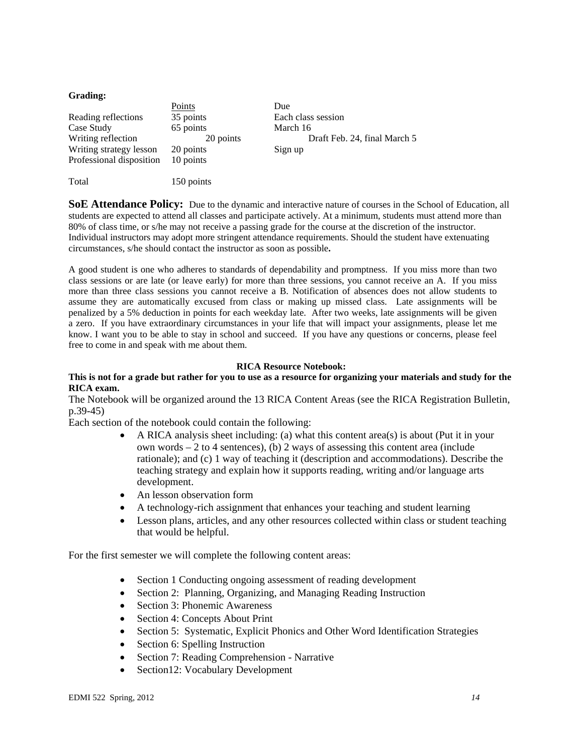#### **Grading:**

|                          | Points     | Due                          |
|--------------------------|------------|------------------------------|
| Reading reflections      | 35 points  | Each class session           |
| Case Study               | 65 points  | March 16                     |
| Writing reflection       | 20 points  | Draft Feb. 24, final March 5 |
| Writing strategy lesson  | 20 points  | Sign up                      |
| Professional disposition | 10 points  |                              |
|                          |            |                              |
| Total                    | 150 points |                              |

**SoE Attendance Policy:** Due to the dynamic and interactive nature of courses in the School of Education, all students are expected to attend all classes and participate actively. At a minimum, students must attend more than 80% of class time, or s/he may not receive a passing grade for the course at the discretion of the instructor. Individual instructors may adopt more stringent attendance requirements. Should the student have extenuating circumstances, s/he should contact the instructor as soon as possible**.** 

A good student is one who adheres to standards of dependability and promptness. If you miss more than two class sessions or are late (or leave early) for more than three sessions, you cannot receive an A. If you miss more than three class sessions you cannot receive a B. Notification of absences does not allow students to assume they are automatically excused from class or making up missed class. Late assignments will be penalized by a 5% deduction in points for each weekday late. After two weeks, late assignments will be given a zero. If you have extraordinary circumstances in your life that will impact your assignments, please let me know. I want you to be able to stay in school and succeed. If you have any questions or concerns, please feel free to come in and speak with me about them.

#### **RICA Resource Notebook:**

#### **This is not for a grade but rather for you to use as a resource for organizing your materials and study for the RICA exam.**

The Notebook will be organized around the 13 RICA Content Areas (see the RICA Registration Bulletin, p.39-45)

Each section of the notebook could contain the following:

- $\bullet$  A RICA analysis sheet including: (a) what this content area(s) is about (Put it in your own words  $-2$  to 4 sentences), (b) 2 ways of assessing this content area (include rationale); and (c) 1 way of teaching it (description and accommodations). Describe the teaching strategy and explain how it supports reading, writing and/or language arts development.
- An lesson observation form
- A technology-rich assignment that enhances your teaching and student learning
- Lesson plans, articles, and any other resources collected within class or student teaching that would be helpful.

For the first semester we will complete the following content areas:

- Section 1 Conducting ongoing assessment of reading development
- Section 2: Planning, Organizing, and Managing Reading Instruction
- Section 3: Phonemic Awareness
- Section 4: Concepts About Print
- Section 5: Systematic, Explicit Phonics and Other Word Identification Strategies
- Section 6: Spelling Instruction
- Section 7: Reading Comprehension Narrative
- Section12: Vocabulary Development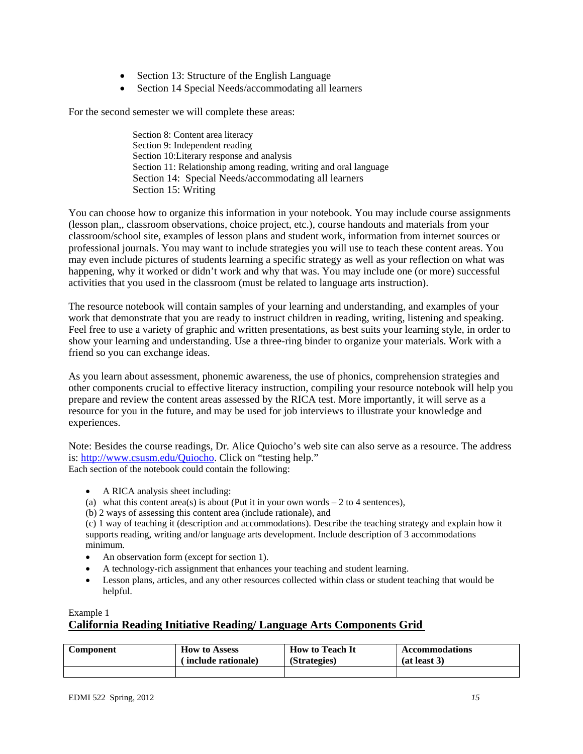- Section 13: Structure of the English Language
- Section 14 Special Needs/accommodating all learners

For the second semester we will complete these areas:

Section 8: Content area literacy Section 9: Independent reading Section 10:Literary response and analysis Section 11: Relationship among reading, writing and oral language Section 14: Special Needs/accommodating all learners Section 15: Writing

You can choose how to organize this information in your notebook. You may include course assignments (lesson plan,, classroom observations, choice project, etc.), course handouts and materials from your classroom/school site, examples of lesson plans and student work, information from internet sources or professional journals. You may want to include strategies you will use to teach these content areas. You may even include pictures of students learning a specific strategy as well as your reflection on what was happening, why it worked or didn't work and why that was. You may include one (or more) successful activities that you used in the classroom (must be related to language arts instruction).

The resource notebook will contain samples of your learning and understanding, and examples of your work that demonstrate that you are ready to instruct children in reading, writing, listening and speaking. Feel free to use a variety of graphic and written presentations, as best suits your learning style, in order to show your learning and understanding. Use a three-ring binder to organize your materials. Work with a friend so you can exchange ideas.

As you learn about assessment, phonemic awareness, the use of phonics, comprehension strategies and other components crucial to effective literacy instruction, compiling your resource notebook will help you prepare and review the content areas assessed by the RICA test. More importantly, it will serve as a resource for you in the future, and may be used for job interviews to illustrate your knowledge and experiences.

Note: Besides the course readings, Dr. Alice Quiocho's web site can also serve as a resource. The address is: http://www.csusm.edu/Quiocho. Click on "testing help." Each section of the notebook could contain the following:

- A RICA analysis sheet including:
- (a) what this content area(s) is about (Put it in your own words  $-2$  to 4 sentences),
- (b) 2 ways of assessing this content area (include rationale), and

 minimum. (c) 1 way of teaching it (description and accommodations). Describe the teaching strategy and explain how it supports reading, writing and/or language arts development. Include description of 3 accommodations

- An observation form (except for section 1).
- A technology-rich assignment that enhances your teaching and student learning.
- Lesson plans, articles, and any other resources collected within class or student teaching that would be helpful.

### Example 1

# **California Reading Initiative Reading/ Language Arts Components Grid**

| Component | <b>How to Assess</b> | <b>How to Teach It</b> | <b>Accommodations</b> |
|-----------|----------------------|------------------------|-----------------------|
|           | (include rationale)  | (Strategies)           | (at least 3)          |
|           |                      |                        |                       |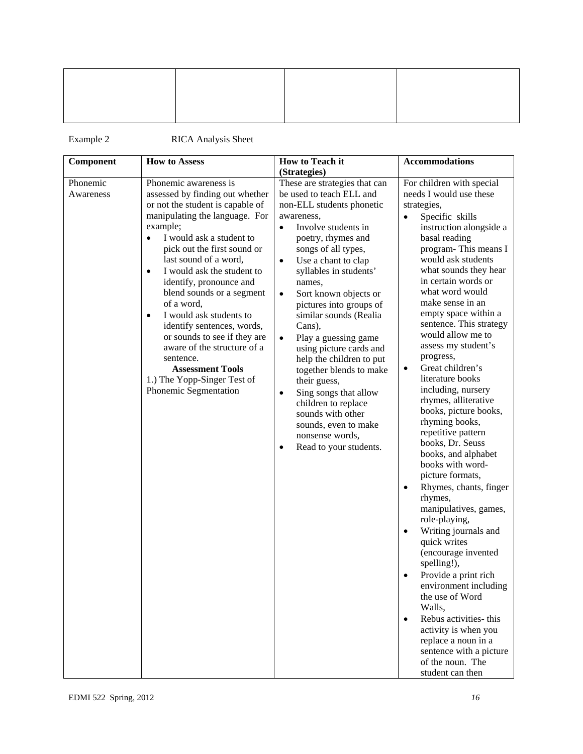Example 2 RICA Analysis Sheet

| Component | <b>How to Assess</b>                    | How to Teach it                    | <b>Accommodations</b>                      |
|-----------|-----------------------------------------|------------------------------------|--------------------------------------------|
|           |                                         | (Strategies)                       |                                            |
| Phonemic  | Phonemic awareness is                   | These are strategies that can      | For children with special                  |
| Awareness | assessed by finding out whether         | be used to teach ELL and           | needs I would use these                    |
|           | or not the student is capable of        | non-ELL students phonetic          | strategies,                                |
|           | manipulating the language. For          | awareness,                         | Specific skills<br>$\bullet$               |
|           | example;                                | Involve students in<br>$\bullet$   | instruction alongside a                    |
|           | I would ask a student to                | poetry, rhymes and                 | basal reading                              |
|           | pick out the first sound or             | songs of all types,                | program-This means I                       |
|           | last sound of a word,                   | Use a chant to clap<br>$\bullet$   | would ask students                         |
|           | I would ask the student to<br>$\bullet$ | syllables in students'             | what sounds they hear                      |
|           | identify, pronounce and                 | names,                             | in certain words or                        |
|           | blend sounds or a segment               | Sort known objects or<br>$\bullet$ | what word would                            |
|           | of a word,                              | pictures into groups of            | make sense in an                           |
|           | I would ask students to<br>$\bullet$    | similar sounds (Realia             | empty space within a                       |
|           | identify sentences, words,              | Cans),                             | sentence. This strategy                    |
|           | or sounds to see if they are            | Play a guessing game<br>$\bullet$  | would allow me to                          |
|           | aware of the structure of a             | using picture cards and            | assess my student's                        |
|           | sentence.                               | help the children to put           | progress,                                  |
|           | <b>Assessment Tools</b>                 | together blends to make            | Great children's<br>$\bullet$              |
|           | 1.) The Yopp-Singer Test of             | their guess,                       | literature books                           |
|           | Phonemic Segmentation                   | Sing songs that allow<br>$\bullet$ | including, nursery<br>rhymes, alliterative |
|           |                                         | children to replace                | books, picture books,                      |
|           |                                         | sounds with other                  | rhyming books,                             |
|           |                                         | sounds, even to make               | repetitive pattern                         |
|           |                                         | nonsense words,                    | books, Dr. Seuss                           |
|           |                                         | Read to your students.<br>٠        | books, and alphabet                        |
|           |                                         |                                    | books with word-                           |
|           |                                         |                                    | picture formats,                           |
|           |                                         |                                    | Rhymes, chants, finger<br>$\bullet$        |
|           |                                         |                                    | rhymes,                                    |
|           |                                         |                                    | manipulatives, games,                      |
|           |                                         |                                    | role-playing,                              |
|           |                                         |                                    | Writing journals and<br>$\bullet$          |
|           |                                         |                                    | quick writes                               |
|           |                                         |                                    | (encourage invented                        |
|           |                                         |                                    | spelling!),                                |
|           |                                         |                                    | Provide a print rich<br>$\bullet$          |
|           |                                         |                                    | environment including                      |
|           |                                         |                                    | the use of Word                            |
|           |                                         |                                    | Walls,                                     |
|           |                                         |                                    | Rebus activities- this<br>$\bullet$        |
|           |                                         |                                    | activity is when you                       |
|           |                                         |                                    | replace a noun in a                        |
|           |                                         |                                    | sentence with a picture                    |
|           |                                         |                                    | of the noun. The                           |
|           |                                         |                                    | student can then                           |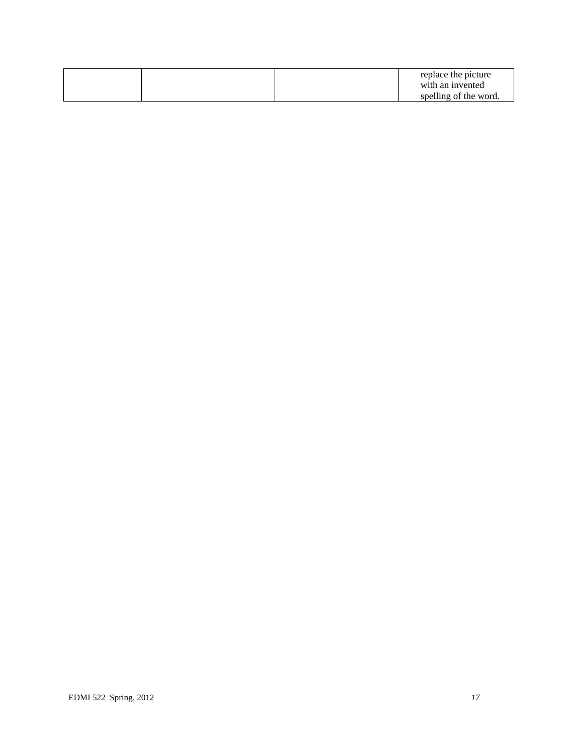|  |  | replace the picture   |
|--|--|-----------------------|
|  |  | with an invented      |
|  |  | spelling of the word. |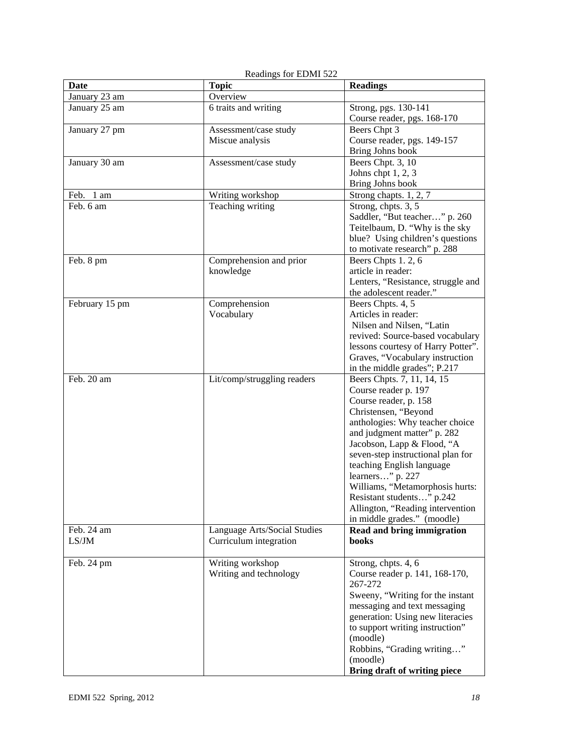| Date           | <b>Topic</b>                 | <b>Readings</b>                             |
|----------------|------------------------------|---------------------------------------------|
| January 23 am  | Overview                     |                                             |
| January 25 am  | 6 traits and writing         | Strong, pgs. 130-141                        |
|                |                              | Course reader, pgs. 168-170<br>Beers Chpt 3 |
| January 27 pm  | Assessment/case study        |                                             |
|                | Miscue analysis              | Course reader, pgs. 149-157                 |
|                |                              | Bring Johns book                            |
| January 30 am  | Assessment/case study        | Beers Chpt. 3, 10<br>Johns chpt $1, 2, 3$   |
|                |                              | Bring Johns book                            |
| Feb.<br>1 am   | Writing workshop             | Strong chapts. 1, 2, 7                      |
| Feb. 6 am      | Teaching writing             | Strong, chpts. 3, 5                         |
|                |                              | Saddler, "But teacher" p. 260               |
|                |                              | Teitelbaum, D. "Why is the sky              |
|                |                              | blue? Using children's questions            |
|                |                              | to motivate research" p. 288                |
| Feb. 8 pm      | Comprehension and prior      | Beers Chpts 1.2, 6                          |
|                | knowledge                    | article in reader:                          |
|                |                              | Lenters, "Resistance, struggle and          |
|                |                              | the adolescent reader."                     |
| February 15 pm | Comprehension                | Beers Chpts. 4, 5                           |
|                | Vocabulary                   | Articles in reader:                         |
|                |                              | Nilsen and Nilsen, "Latin                   |
|                |                              | revived: Source-based vocabulary            |
|                |                              | lessons courtesy of Harry Potter".          |
|                |                              | Graves, "Vocabulary instruction             |
|                |                              | in the middle grades"; P.217                |
| Feb. 20 am     | Lit/comp/struggling readers  | Beers Chpts. 7, 11, 14, 15                  |
|                |                              | Course reader p. 197                        |
|                |                              | Course reader, p. 158                       |
|                |                              | Christensen, "Beyond                        |
|                |                              | anthologies: Why teacher choice             |
|                |                              | and judgment matter" p. 282                 |
|                |                              | Jacobson, Lapp & Flood, "A                  |
|                |                              | seven-step instructional plan for           |
|                |                              | teaching English language                   |
|                |                              | learners" p. 227                            |
|                |                              | Williams, "Metamorphosis hurts:             |
|                |                              | Resistant students" p.242                   |
|                |                              | Allington, "Reading intervention            |
|                |                              | in middle grades." (moodle)                 |
| Feb. 24 am     | Language Arts/Social Studies | Read and bring immigration                  |
| LS/JM          | Curriculum integration       | books                                       |
| Feb. 24 pm     | Writing workshop             | Strong, chpts. 4, 6                         |
|                | Writing and technology       | Course reader p. 141, 168-170,              |
|                |                              | 267-272                                     |
|                |                              | Sweeny, "Writing for the instant            |
|                |                              | messaging and text messaging                |
|                |                              | generation: Using new literacies            |
|                |                              | to support writing instruction"             |
|                |                              | (moodle)                                    |
|                |                              | Robbins, "Grading writing"                  |
|                |                              | (moodle)                                    |
|                |                              | Bring draft of writing piece                |